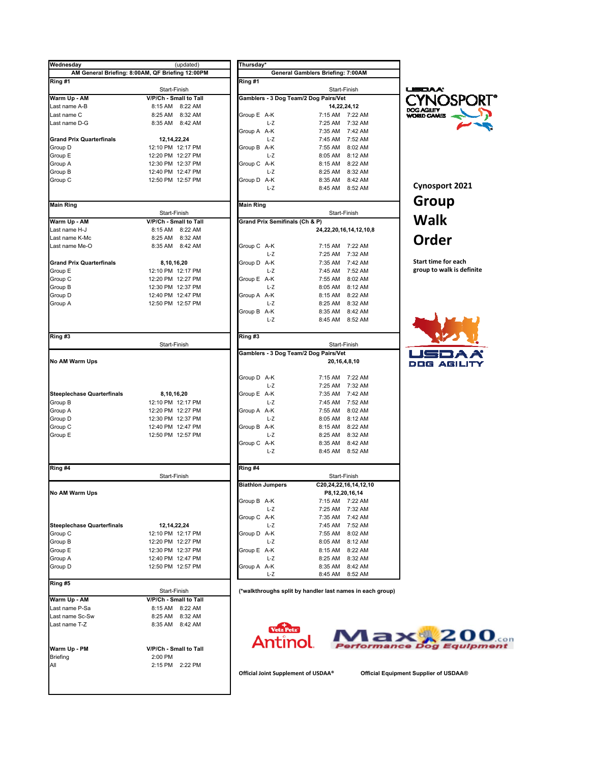| Wednesday<br>(updated)<br>AM General Briefing: 8:00AM, QF Briefing 12:00PM |                                        | Thursday*<br>General Gamblers Briefing: 7:00AM |                                                    |  |
|----------------------------------------------------------------------------|----------------------------------------|------------------------------------------------|----------------------------------------------------|--|
| Ring #1                                                                    |                                        | Ring #1                                        |                                                    |  |
|                                                                            | Start-Finish                           |                                                | Start-Finish                                       |  |
| Warm Up - AM                                                               | V/P/Ch - Small to Tall                 | Gamblers - 3 Dog Team/2 Dog Pairs/Vet          |                                                    |  |
| Last name A-B                                                              | 8:15 AM<br>8:22 AM                     |                                                | 14,22,24,12                                        |  |
| Last name C<br>Last name D-G                                               | 8:32 AM<br>8:25 AM<br>8:35 AM 8:42 AM  | Group E A-K<br>L-Z                             | 7:15 AM 7:22 AM<br>7:25 AM 7:32 AM                 |  |
|                                                                            |                                        | Group A A-K                                    | 7:35 AM<br>7:42 AM                                 |  |
| <b>Grand Prix Quarterfinals</b>                                            | 12, 14, 22, 24                         | L-Z                                            | 7:45 AM 7:52 AM                                    |  |
| Group D                                                                    | 12:10 PM 12:17 PM                      | Group B A-K                                    | 7:55 AM 8:02 AM                                    |  |
| Group E                                                                    | 12:20 PM 12:27 PM                      | L-Z                                            | 8:05 AM 8:12 AM                                    |  |
| Group A                                                                    | 12:30 PM 12:37 PM                      | Group C A-K                                    | 8:15 AM 8:22 AM                                    |  |
| Group B                                                                    | 12:40 PM 12:47 PM                      | L-Z                                            | 8:25 AM 8:32 AM                                    |  |
| Group C                                                                    | 12:50 PM 12:57 PM                      | Group D A-K                                    | 8:35 AM 8:42 AM                                    |  |
|                                                                            |                                        | L-Z                                            | 8:45 AM 8:52 AM                                    |  |
| <b>Main Ring</b>                                                           |                                        | <b>Main Ring</b>                               |                                                    |  |
|                                                                            | Start-Finish                           |                                                | Start-Finish                                       |  |
| Warm Up - AM                                                               | V/P/Ch - Small to Tall                 | Grand Prix Semifinals (Ch & P)                 |                                                    |  |
| Last name H-J                                                              | 8:15 AM 8:22 AM                        |                                                | 24,22,20,16,14,12,10,8                             |  |
| Last name K-Mc                                                             | 8:25 AM 8:32 AM                        |                                                |                                                    |  |
| Last name Me-O                                                             | 8:35 AM 8:42 AM                        | Group C A-K                                    | 7:15 AM 7:22 AM                                    |  |
|                                                                            |                                        | L-Z                                            | 7:25 AM 7:32 AM                                    |  |
| <b>Grand Prix Quarterfinals</b>                                            | 8,10,16,20<br>12:10 PM 12:17 PM        | Group D A-K                                    | 7:35 AM 7:42 AM<br>7:45 AM 7:52 AM                 |  |
| Group E<br>Group C                                                         | 12:20 PM 12:27 PM                      | L-Z<br>Group E A-K                             | 7:55 AM 8:02 AM                                    |  |
| Group B                                                                    | 12:30 PM 12:37 PM                      | L-Z                                            | 8:05 AM 8:12 AM                                    |  |
| Group D                                                                    | 12:40 PM 12:47 PM                      | Group A A-K                                    | 8:15 AM 8:22 AM                                    |  |
| Group A                                                                    | 12:50 PM 12:57 PM                      | L-Z                                            | 8:25 AM 8:32 AM                                    |  |
|                                                                            |                                        | Group B A-K                                    | 8:35 AM 8:42 AM                                    |  |
|                                                                            |                                        | L-Z                                            | 8:45 AM 8:52 AM                                    |  |
| Ring #3                                                                    |                                        | Ring #3                                        |                                                    |  |
|                                                                            | Start-Finish                           |                                                | Start-Finish                                       |  |
| <b>No AM Warm Ups</b>                                                      |                                        | Gamblers - 3 Dog Team/2 Dog Pairs/Vet          | 20,16,4,8,10                                       |  |
|                                                                            |                                        |                                                |                                                    |  |
|                                                                            |                                        | Group D A-K                                    | 7:22 AM<br>7:15 AM                                 |  |
|                                                                            |                                        | L-Z                                            | 7:25 AM 7:32 AM                                    |  |
| <b>Steeplechase Quarterfinals</b>                                          | 8,10,16,20                             | Group E A-K                                    | 7:35 AM 7:42 AM                                    |  |
| Group B                                                                    | 12:10 PM 12:17 PM                      | L-Z                                            | 7:45 AM 7:52 AM                                    |  |
| Group A                                                                    | 12:20 PM 12:27 PM                      | Group A A-K                                    | 7:55 AM 8:02 AM                                    |  |
| Group D<br>Group C                                                         | 12:30 PM 12:37 PM                      | L-Z                                            | 8:05 AM 8:12 AM                                    |  |
| Group E                                                                    | 12:40 PM 12:47 PM<br>12:50 PM 12:57 PM | Group B A-K<br>L-Z                             | 8:15 AM 8:22 AM<br>8:25 AM 8:32 AM                 |  |
|                                                                            |                                        | Group C A-K                                    | 8:35 AM 8:42 AM                                    |  |
|                                                                            |                                        | L-Z                                            | 8:45 AM 8:52 AM                                    |  |
| Ring #4                                                                    |                                        | Ring #4                                        |                                                    |  |
|                                                                            | Start-Finish                           |                                                | Start-Finish                                       |  |
|                                                                            |                                        | <b>Biathlon Jumpers</b>                        | C20,24,22,16,14,12,10                              |  |
| No AM Warm Ups                                                             |                                        |                                                | P8,12,20,16,14                                     |  |
|                                                                            |                                        | Group B A-K                                    | 7:15 AM<br>7:22 AM                                 |  |
|                                                                            |                                        | L-Z                                            | 7:25 AM<br>7:32 AM                                 |  |
|                                                                            |                                        | Group C A-K                                    | 7:35 AM<br>7:42 AM                                 |  |
| <b>Steeplechase Quarterfinals</b>                                          | 12, 14, 22, 24                         | L-Z                                            | 7:45 AM<br>7:52 AM                                 |  |
| Group C                                                                    | 12:10 PM 12:17 PM                      | Group D A-K                                    | 7:55 AM<br>8:02 AM                                 |  |
| Group B<br>Group E                                                         | 12:20 PM 12:27 PM<br>12:30 PM 12:37 PM | L-Z<br>Group E A-K                             | 8:12 AM<br>8:05 AM<br>8:22 AM<br>8:15 AM           |  |
| Group A                                                                    | 12:40 PM 12:47 PM                      | L-Z                                            | 8:25 AM<br>8:32 AM                                 |  |
| Group D                                                                    | 12:50 PM 12:57 PM                      | Group A A-K                                    | 8:35 AM<br>8:42 AM                                 |  |
|                                                                            |                                        | L-Z                                            | 8:45 AM<br>8:52 AM                                 |  |
| Ring #5                                                                    | Start-Finish                           |                                                | (*walkthroughs split by handler last names in each |  |
| Warm Up - AM                                                               | V/P/Ch - Small to Tall                 |                                                |                                                    |  |
| Last name P-Sa                                                             | 8:15 AM<br>8:22 AM                     |                                                |                                                    |  |
| Last name Sc-Sw                                                            | 8:25 AM<br>8:32 AM                     |                                                |                                                    |  |
| Last name T-Z                                                              | 8:35 AM<br>8:42 AM                     |                                                |                                                    |  |
|                                                                            |                                        | Vetz Petz                                      |                                                    |  |
|                                                                            |                                        | Antinol                                        |                                                    |  |
| Warm Up - PM                                                               | V/P/Ch - Small to Tall                 |                                                |                                                    |  |
| <b>Briefing</b>                                                            | 2:00 PM                                |                                                |                                                    |  |
| All                                                                        | 2:15 PM 2:22 PM                        |                                                |                                                    |  |

2:15 PM 2:22 PM

| (updated)                      | Thursday*                                             |                                          |  |  |  |
|--------------------------------|-------------------------------------------------------|------------------------------------------|--|--|--|
| Briefing 12:00PM               |                                                       | <b>General Gamblers Briefing: 7:00AM</b> |  |  |  |
|                                | Ring #1                                               |                                          |  |  |  |
| Start-Finish                   |                                                       | Start-Finish                             |  |  |  |
| <b>Ch - Small to Tall</b>      | Gamblers - 3 Dog Team/2 Dog Pairs/Vet                 |                                          |  |  |  |
| 5 AM 8:22 AM                   |                                                       | 14,22,24,12                              |  |  |  |
| 5 AM 8:32 AM                   | Group E A-K                                           | 7:15 AM 7:22 AM                          |  |  |  |
| 5 AM 8:42 AM                   | L-Z                                                   | 7:25 AM 7:32 AM                          |  |  |  |
|                                | Group A A-K                                           | 7:35 AM 7:42 AM                          |  |  |  |
| 12,14,22,24                    | L-Z                                                   | 7:45 AM 7:52 AM                          |  |  |  |
| 0 PM 12:17 PM                  | Group B A-K                                           | 7:55 AM 8:02 AM                          |  |  |  |
| 0 PM 12:27 PM                  | L-Z                                                   | 8:05 AM 8:12 AM                          |  |  |  |
| 0 PM 12:37 PM                  | Group C A-K                                           | 8:15 AM 8:22 AM                          |  |  |  |
| 0 PM 12:47 PM                  | L-Z                                                   | 8:25 AM 8:32 AM                          |  |  |  |
| 0 PM 12:57 PM                  | Group D A-K                                           | 8:35 AM 8:42 AM                          |  |  |  |
|                                | L-Z                                                   | 8:45 AM 8:52 AM                          |  |  |  |
|                                |                                                       |                                          |  |  |  |
|                                | <b>Main Ring</b>                                      |                                          |  |  |  |
| Start-Finish                   |                                                       | Start-Finish                             |  |  |  |
| <b>Ch - Small to Tall</b>      | Grand Prix Semifinals (Ch & P)                        |                                          |  |  |  |
| 5 AM 8:22 AM                   |                                                       | 24,22,20,16,14,12,10,8                   |  |  |  |
| 5 AM 8:32 AM                   |                                                       |                                          |  |  |  |
| 5 AM 8:42 AM                   | Group C A-K                                           | 7:15 AM 7:22 AM                          |  |  |  |
|                                | L-Z                                                   | 7:25 AM 7:32 AM                          |  |  |  |
| 8,10,16,20                     | Group D A-K                                           | 7:35 AM 7:42 AM                          |  |  |  |
| 0 PM 12:17 PM                  | L-Z                                                   | 7:45 AM 7:52 AM                          |  |  |  |
| 0 PM 12:27 PM                  | Group E A-K                                           | 7:55 AM 8:02 AM                          |  |  |  |
| 0 PM 12:37 PM                  | L-Z                                                   | 8:05 AM 8:12 AM                          |  |  |  |
|                                |                                                       |                                          |  |  |  |
| 0 PM 12:47 PM                  | Group A A-K                                           | 8:15 AM 8:22 AM                          |  |  |  |
| 0 PM 12:57 PM                  | L-Z                                                   | 8:25 AM 8:32 AM                          |  |  |  |
|                                | Group B A-K                                           | 8:35 AM 8:42 AM                          |  |  |  |
|                                | L-Z                                                   | 8:45 AM 8:52 AM                          |  |  |  |
|                                |                                                       |                                          |  |  |  |
|                                | Ring #3                                               |                                          |  |  |  |
| Start-Finish                   | Start-Finish<br>Gamblers - 3 Dog Team/2 Dog Pairs/Vet |                                          |  |  |  |
|                                | 20,16,4,8,10                                          |                                          |  |  |  |
|                                |                                                       |                                          |  |  |  |
|                                | Group D A-K                                           | 7:15 AM 7:22 AM                          |  |  |  |
|                                | L-Z                                                   | 7:25 AM 7:32 AM                          |  |  |  |
| 8,10,16,20                     | Group E A-K                                           | 7:35 AM 7:42 AM                          |  |  |  |
| 0 PM 12:17 PM                  | L-Z                                                   | 7:45 AM 7:52 AM                          |  |  |  |
| 0 PM 12:27 PM                  | Group A A-K                                           | 7:55 AM 8:02 AM                          |  |  |  |
| 0 PM 12:37 PM                  | L-Z                                                   | 8:05 AM 8:12 AM                          |  |  |  |
| 0 PM 12:47 PM                  | Group B A-K                                           | 8:15 AM 8:22 AM                          |  |  |  |
| 0 PM 12:57 PM                  | L-Z                                                   | 8:25 AM 8:32 AM                          |  |  |  |
|                                |                                                       | 8:35 AM 8:42 AM                          |  |  |  |
|                                | Group C A-K                                           |                                          |  |  |  |
|                                | L-Z                                                   | 8:45 AM 8:52 AM                          |  |  |  |
|                                | Ring #4                                               |                                          |  |  |  |
| Start-Finish                   |                                                       | Start-Finish                             |  |  |  |
|                                | <b>Biathlon Jumpers</b>                               | C20,24,22,16,14,12,10                    |  |  |  |
|                                |                                                       | P8,12,20,16,14                           |  |  |  |
|                                | Group B A-K                                           | 7:15 AM<br>7:22 AM                       |  |  |  |
|                                | L-Z                                                   | 7:25 AM<br>7:32 AM                       |  |  |  |
|                                | Group C A-K                                           | 7:35 AM<br>7:42 AM                       |  |  |  |
|                                |                                                       | 7:45 AM                                  |  |  |  |
| 12,14,22,24                    | L-Z                                                   | 7:52 AM                                  |  |  |  |
| 0 PM 12:17 PM                  | A-K<br>Group D                                        | 7:55 AM<br>8:02 AM                       |  |  |  |
| 0 PM 12:27 PM                  | L-Z                                                   | 8:05 AM<br>8:12 AM                       |  |  |  |
|                                | Group E A-K                                           | 8:15 AM<br>8:22 AM                       |  |  |  |
|                                |                                                       |                                          |  |  |  |
| 0 PM 12:37 PM<br>0 PM 12:47 PM | L-Z                                                   | 8:25 AM<br>8:32 AM                       |  |  |  |
| 0 PM 12:57 PM                  | Group A A-K                                           | 8:35 AM<br>8:42 AM<br>8:45 AM            |  |  |  |

CYNOSPORT

**Cynosport 2021 Group Walk Order**

**Start time for each group to walk is definite**



**(\*walkthroughs split by handler last names in each group)**



**Official Joint Supplement of USDAA® Official Equipment Supplier of USDAA®**